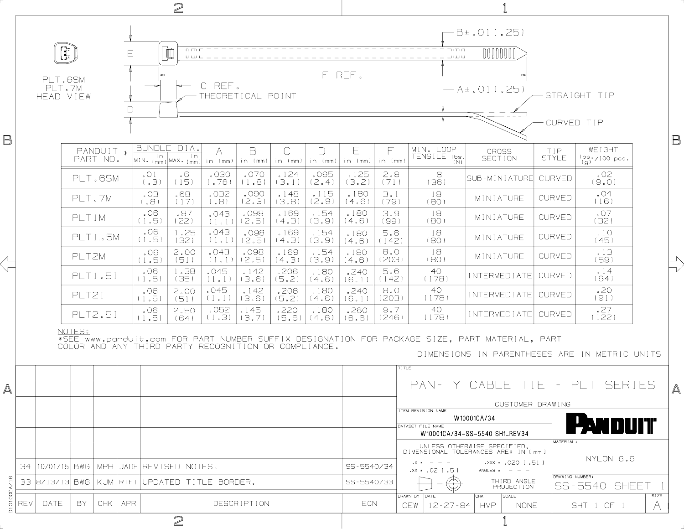| $\geq$           |                                                       |       |        |                       |            |                                                           |                                                                                                            |                   |                   |               |               |                      |                                                                                                                                                                                                                                                                                                                                                                                                                                                              |                                             |                                                                                                                                                                                                     |                       |                                       |             |                          |
|------------------|-------------------------------------------------------|-------|--------|-----------------------|------------|-----------------------------------------------------------|------------------------------------------------------------------------------------------------------------|-------------------|-------------------|---------------|---------------|----------------------|--------------------------------------------------------------------------------------------------------------------------------------------------------------------------------------------------------------------------------------------------------------------------------------------------------------------------------------------------------------------------------------------------------------------------------------------------------------|---------------------------------------------|-----------------------------------------------------------------------------------------------------------------------------------------------------------------------------------------------------|-----------------------|---------------------------------------|-------------|--------------------------|
|                  | $\bigoplus_{i=1}^n$<br>PLT.6SM<br>PLT.7M<br>HEAD VIEW |       |        |                       |            | $\mathbb{\bar{D}}$<br>E(E)<br>Ε<br>$\Box$ $\Box$ $\Box$ . |                                                                                                            |                   |                   |               |               |                      | B±.01(.25)<br>ה חדר<br>DOODDDDD]<br>$\begin{array}{l} \rule{0pt}{2mm} \rule{0pt}{2mm} \rule{0pt}{2mm} \rule{0pt}{2mm} \rule{0pt}{2mm} \rule{0pt}{2mm} \rule{0pt}{2mm} \rule{0pt}{2mm} \rule{0pt}{2mm} \rule{0pt}{2mm} \rule{0pt}{2mm} \rule{0pt}{2mm} \rule{0pt}{2mm} \rule{0pt}{2mm} \rule{0pt}{2mm} \rule{0pt}{2mm} \rule{0pt}{2mm} \rule{0pt}{2mm} \rule{0pt}{2mm} \rule{0pt}{2mm} \rule{0pt}{2mm} \rule{0pt}{2mm} \rule{0pt}{2mm} \rule{0pt}{$<br>F REF. |                                             |                                                                                                                                                                                                     |                       |                                       |             |                          |
| B                |                                                       |       |        |                       |            |                                                           |                                                                                                            | C REF.            | THEORETICAL POINT |               |               |                      | - A±.Ol(.25)<br>STRAIGHT TIP<br>CURVED TIP                                                                                                                                                                                                                                                                                                                                                                                                                   |                                             |                                                                                                                                                                                                     |                       |                                       |             | B                        |
|                  |                                                       |       |        | PANDUIT *<br>PART NO. |            | in.                                                       | BUNDLE DIA.<br>in.<br>$\left \text{MIN}_{\cdot} \left(\text{mm}\right)\right $ MAX $\cdot$ ( $\text{mm}$ ) | in (mm)           | B<br>in (mm)      | C<br>in (mm)  | D<br>in (mm)  | Ε<br>in (mm) in (mm) |                                                                                                                                                                                                                                                                                                                                                                                                                                                              | MIN. LOOP<br>TENSILE Ibs.<br>(N)            | <b>CROSS</b><br>SECTION                                                                                                                                                                             | TIP.<br><b>STYLE</b>  | WEIGHT<br>$\frac{16s}{(g)}$ /100 pcs. |             |                          |
|                  |                                                       |       |        | PLT.6SM               |            | $\circ$ 0 1<br>(E, )                                      | .6<br>(15)                                                                                                 | .030<br>(76)      | .070<br>(1,8)     | 124<br>(3.1)  | .095<br>(2.4) | .125<br>(3.2)        | 2.8<br>(71)                                                                                                                                                                                                                                                                                                                                                                                                                                                  | 8<br>(36)                                   | ISUB-MINIATUREI                                                                                                                                                                                     | CURVED                | .02<br>(9.0)                          |             |                          |
|                  |                                                       |       | PLT.7M |                       |            | CO <sub>2</sub><br>(.8)                                   | .68<br>(17)                                                                                                | .032<br>(.8)      | .090<br>(2.3)     | .148<br>(3.8) | .115<br>(2.9) | .180<br>(4.6)        | 3.1<br>(79)                                                                                                                                                                                                                                                                                                                                                                                                                                                  | 18<br>(BO)                                  | MINIATURE                                                                                                                                                                                           | <b>CURVED</b>         | .04<br>(16)                           |             |                          |
|                  |                                                       |       | PLT1M  |                       |            | .06<br>(1.5)                                              | .87<br>(22)                                                                                                | .043<br>$(1 - 1)$ | .098<br>(2.5)     | .169<br>(4.3) | .154<br>(3.9) | .180<br>(4.6)        | 3.9<br>(99)                                                                                                                                                                                                                                                                                                                                                                                                                                                  | 18<br>(80)                                  | MINIATURE                                                                                                                                                                                           | <b>CURVED</b>         | $\cdot$ 07<br>(32)                    |             |                          |
|                  |                                                       |       |        | <b>PLT15M</b>         |            | .06<br>(1.5)                                              | 1.25<br>(32)                                                                                               | .043<br>(1.1)     | .098<br>(2.5)     | .169<br>(4.3) | .154<br>(3.9) | .180<br>(4.6)        | 5.6<br>(142)                                                                                                                                                                                                                                                                                                                                                                                                                                                 | 18<br>(80)                                  | MINIATURE                                                                                                                                                                                           | <b>CURVED</b>         | .10<br>(45)                           |             |                          |
|                  |                                                       | PLT2M |        |                       |            | .06<br>(1.5)                                              | 2.00<br>(51)                                                                                               | 043<br>(1, 1)     | .098<br>(2.5)     | .169<br>(4.3) | .154<br>(3.9) | .180<br>(4.6)        | 8.0<br>(203)                                                                                                                                                                                                                                                                                                                                                                                                                                                 | 18<br>(80)                                  | MINIATURE                                                                                                                                                                                           | <b>CURVED</b>         | .13<br>(59)                           |             | $\searrow$<br>$\neg\neg$ |
|                  |                                                       |       |        | <b>PLT1.51</b>        |            | .06<br>(1.5)                                              | 1.38<br>(35)                                                                                               | .045<br>(1, 1)    | .142<br>(3.6)     | .206<br>(5.2) | .180<br>(4.6) | .240<br>(6.1)        | 5.6<br>(142)                                                                                                                                                                                                                                                                                                                                                                                                                                                 | 40<br>(178)                                 | INTERMEDIATE                                                                                                                                                                                        | <b>CURVED</b>         | 14<br>(64)                            |             |                          |
|                  |                                                       |       | PLT21  |                       |            | .06<br>(1.5)                                              | 2.00<br>(51)                                                                                               | .045<br>$(1 - 1)$ | .142<br>(3.6)     | .206<br>(5.2) | .180<br>(4.6) | .240<br>(6.1)        | 8.0<br>(203)                                                                                                                                                                                                                                                                                                                                                                                                                                                 | 40<br>(178)                                 | <b>INTERMEDIATE</b>                                                                                                                                                                                 | <b>CURVED</b>         | .20<br>(91)                           |             |                          |
|                  |                                                       |       |        | <b>PLT2.51</b>        |            | .06<br>(1.5)                                              | 2.50<br>(64)                                                                                               | .052<br>(1.3)     | .145<br>(3.7)     | .220<br>(5.6) | .180<br>(4.6) | .260<br>(6.6)        | 9.7<br>(246)                                                                                                                                                                                                                                                                                                                                                                                                                                                 | 40<br>(178)                                 | INTERMEDIATE CURVED                                                                                                                                                                                 |                       | .27<br>(122)                          |             |                          |
| $\blacktriangle$ |                                                       |       | NOTES: |                       |            |                                                           | COLOR AND ANY THIRD PARTY RECOGNITION OR COMPLIANCE.                                                       |                   |                   |               |               |                      |                                                                                                                                                                                                                                                                                                                                                                                                                                                              | <b>TITLE</b>                                | *SEE www.panduit.com FOR PART NUMBER SUFFIX DESIGNATION FOR PACKAGE SIZE, PART MATERIAL, PART<br>DIMENSIONS IN PARENTHESES ARE IN METRIC UNITS<br>PAN-TY CABLE TIE - PLT SERIES<br>CUSTOMER DRAWING |                       |                                       |             | A                        |
|                  |                                                       |       |        |                       |            |                                                           |                                                                                                            |                   |                   |               |               |                      | TEM REVISION NAME                                                                                                                                                                                                                                                                                                                                                                                                                                            | W10001CA/34                                 |                                                                                                                                                                                                     |                       |                                       |             |                          |
|                  |                                                       |       |        |                       |            |                                                           |                                                                                                            |                   |                   |               |               |                      | DATASET FILE NAME                                                                                                                                                                                                                                                                                                                                                                                                                                            | W10001CA/34-SS-5540 SH1_REV34               |                                                                                                                                                                                                     | PAN DUIT<br>MATERIAL: |                                       |             |                          |
|                  | 34<br> 10/01/15  BWG <br><b>MPH</b>                   |       |        |                       |            | JADE REVISED NOTES.                                       |                                                                                                            |                   |                   |               |               |                      | UNLESS OTHERWISE SPECIFIED,<br>DIMENSIONAL TOLERANCES ARE: IN [mm ]<br>NYLON 6.6<br>113.1020.1<br>$. \times 1 = -$<br>SS-5540/34                                                                                                                                                                                                                                                                                                                             |                                             |                                                                                                                                                                                                     |                       |                                       |             |                          |
|                  | 33<br>8/13/13 BWG                                     |       |        |                       |            |                                                           | KUM RTFI UPDATED TITLE BORDER.                                                                             |                   |                   |               |               |                      | $15.1$ SO, $1 \times x$ .<br>ANGLES $t = -$<br>DRAWING NUMBER:<br>THIRD ANGLE<br>SS-5540/33<br>SS-5540 SHEET<br>PROJECTION                                                                                                                                                                                                                                                                                                                                   |                                             |                                                                                                                                                                                                     |                       |                                       |             |                          |
| D10100DA/16      | REV                                                   | DATE  | BY.    | CHK                   | <b>APR</b> | DESCRIPTION                                               |                                                                                                            |                   |                   |               |               | ECN                  |                                                                                                                                                                                                                                                                                                                                                                                                                                                              | DRAWN BY<br><b>IDATE</b><br>12-27-84<br>CEW | <b>SCALE</b><br><b>CHK</b><br><b>HVP</b><br><b>NONE</b>                                                                                                                                             |                       | SHT 1 OF 1                            | <b>SIZE</b> |                          |
|                  |                                                       |       |        |                       |            |                                                           | $\mathbf{2}$                                                                                               |                   |                   |               |               |                      |                                                                                                                                                                                                                                                                                                                                                                                                                                                              |                                             |                                                                                                                                                                                                     |                       |                                       |             |                          |